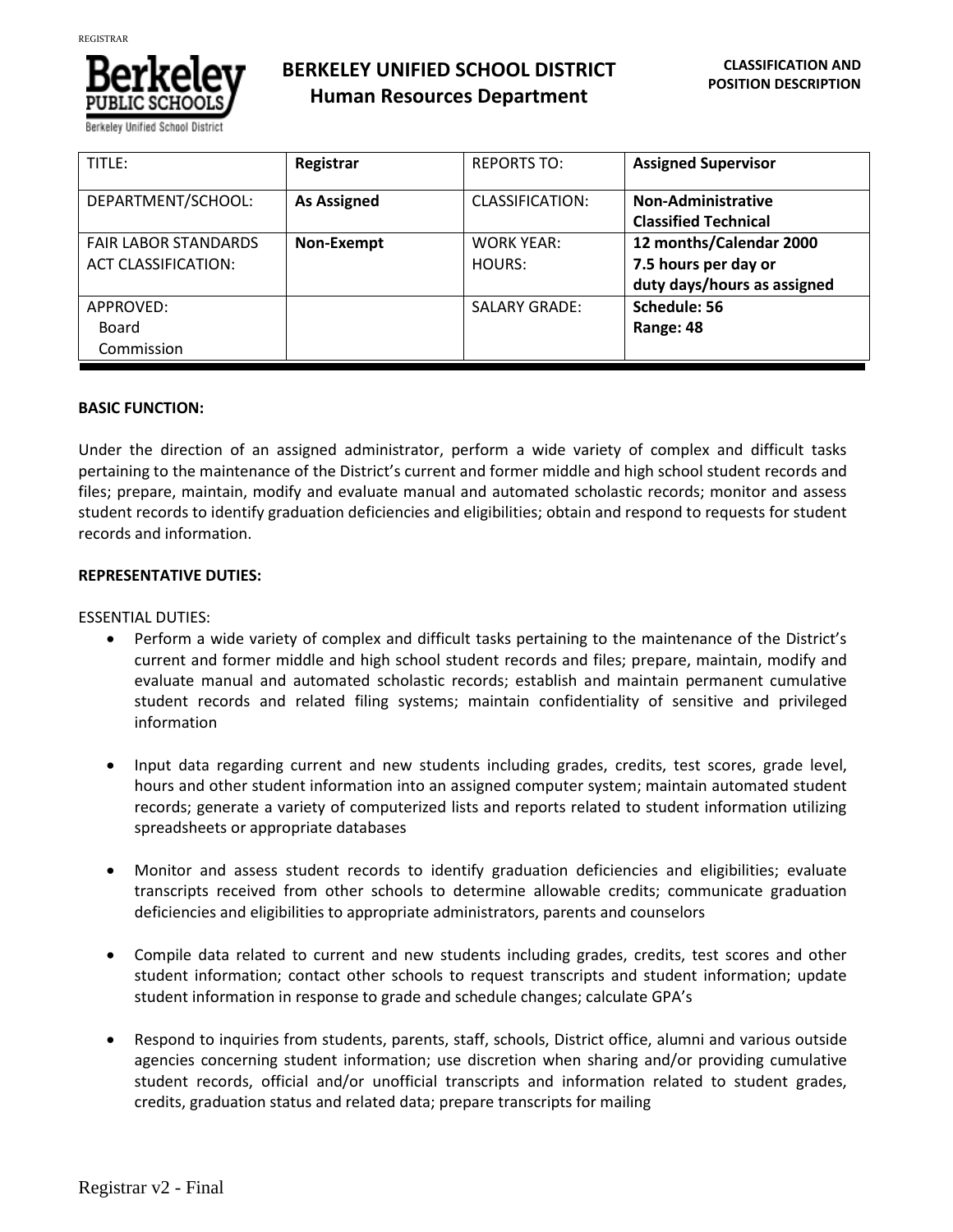

**BERKELEY UNIFIED SCHOOL DISTRICT Human Resources Department**

| TITLE:                                                    | Registrar          | <b>REPORTS TO:</b>          | <b>Assigned Supervisor</b>                                                     |
|-----------------------------------------------------------|--------------------|-----------------------------|--------------------------------------------------------------------------------|
| DEPARTMENT/SCHOOL:                                        | <b>As Assigned</b> | CLASSIFICATION:             | <b>Non-Administrative</b><br><b>Classified Technical</b>                       |
| <b>FAIR LABOR STANDARDS</b><br><b>ACT CLASSIFICATION:</b> | Non-Exempt         | <b>WORK YEAR:</b><br>HOURS: | 12 months/Calendar 2000<br>7.5 hours per day or<br>duty days/hours as assigned |
| APPROVED:<br>Board<br>Commission                          |                    | <b>SALARY GRADE:</b>        | Schedule: 56<br>Range: 48                                                      |

### **BASIC FUNCTION:**

Under the direction of an assigned administrator, perform a wide variety of complex and difficult tasks pertaining to the maintenance of the District's current and former middle and high school student records and files; prepare, maintain, modify and evaluate manual and automated scholastic records; monitor and assess student records to identify graduation deficiencies and eligibilities; obtain and respond to requests for student records and information.

# **REPRESENTATIVE DUTIES:**

ESSENTIAL DUTIES:

- Perform a wide variety of complex and difficult tasks pertaining to the maintenance of the District's current and former middle and high school student records and files; prepare, maintain, modify and evaluate manual and automated scholastic records; establish and maintain permanent cumulative student records and related filing systems; maintain confidentiality of sensitive and privileged information
- Input data regarding current and new students including grades, credits, test scores, grade level, hours and other student information into an assigned computer system; maintain automated student records; generate a variety of computerized lists and reports related to student information utilizing spreadsheets or appropriate databases
- Monitor and assess student records to identify graduation deficiencies and eligibilities; evaluate transcripts received from other schools to determine allowable credits; communicate graduation deficiencies and eligibilities to appropriate administrators, parents and counselors
- Compile data related to current and new students including grades, credits, test scores and other student information; contact other schools to request transcripts and student information; update student information in response to grade and schedule changes; calculate GPA's
- Respond to inquiries from students, parents, staff, schools, District office, alumni and various outside agencies concerning student information; use discretion when sharing and/or providing cumulative student records, official and/or unofficial transcripts and information related to student grades, credits, graduation status and related data; prepare transcripts for mailing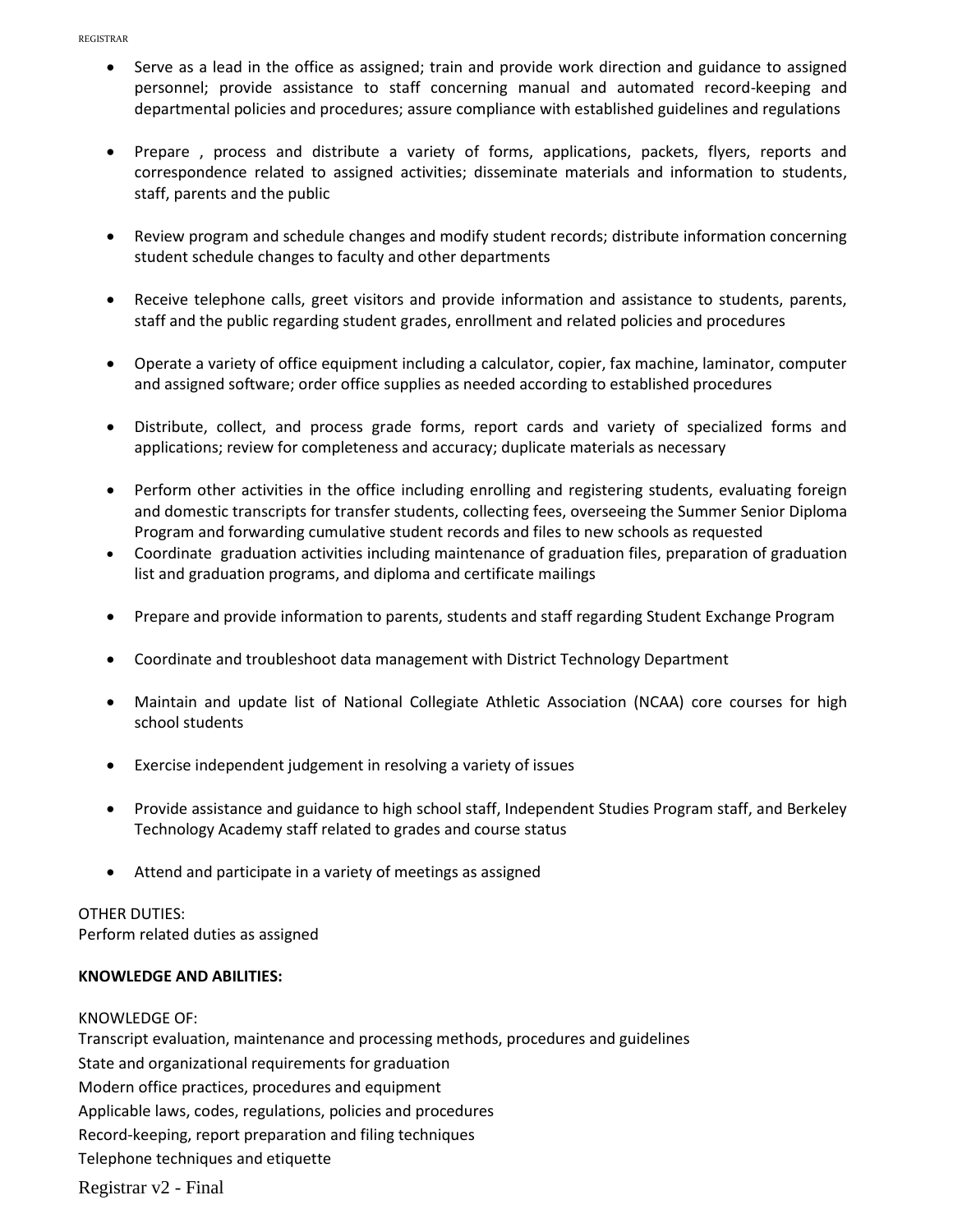- Serve as a lead in the office as assigned; train and provide work direction and guidance to assigned personnel; provide assistance to staff concerning manual and automated record-keeping and departmental policies and procedures; assure compliance with established guidelines and regulations
- Prepare , process and distribute a variety of forms, applications, packets, flyers, reports and correspondence related to assigned activities; disseminate materials and information to students, staff, parents and the public
- Review program and schedule changes and modify student records; distribute information concerning student schedule changes to faculty and other departments
- Receive telephone calls, greet visitors and provide information and assistance to students, parents, staff and the public regarding student grades, enrollment and related policies and procedures
- Operate a variety of office equipment including a calculator, copier, fax machine, laminator, computer and assigned software; order office supplies as needed according to established procedures
- Distribute, collect, and process grade forms, report cards and variety of specialized forms and applications; review for completeness and accuracy; duplicate materials as necessary
- Perform other activities in the office including enrolling and registering students, evaluating foreign and domestic transcripts for transfer students, collecting fees, overseeing the Summer Senior Diploma Program and forwarding cumulative student records and files to new schools as requested
- Coordinate graduation activities including maintenance of graduation files, preparation of graduation list and graduation programs, and diploma and certificate mailings
- Prepare and provide information to parents, students and staff regarding Student Exchange Program
- Coordinate and troubleshoot data management with District Technology Department
- Maintain and update list of National Collegiate Athletic Association (NCAA) core courses for high school students
- Exercise independent judgement in resolving a variety of issues
- Provide assistance and guidance to high school staff, Independent Studies Program staff, and Berkeley Technology Academy staff related to grades and course status
- Attend and participate in a variety of meetings as assigned

# OTHER DUTIES:

Perform related duties as assigned

# **KNOWLEDGE AND ABILITIES:**

# KNOWLEDGE OF:

Transcript evaluation, maintenance and processing methods, procedures and guidelines State and organizational requirements for graduation Modern office practices, procedures and equipment Applicable laws, codes, regulations, policies and procedures Record-keeping, report preparation and filing techniques Telephone techniques and etiquette

Registrar v2 - Final